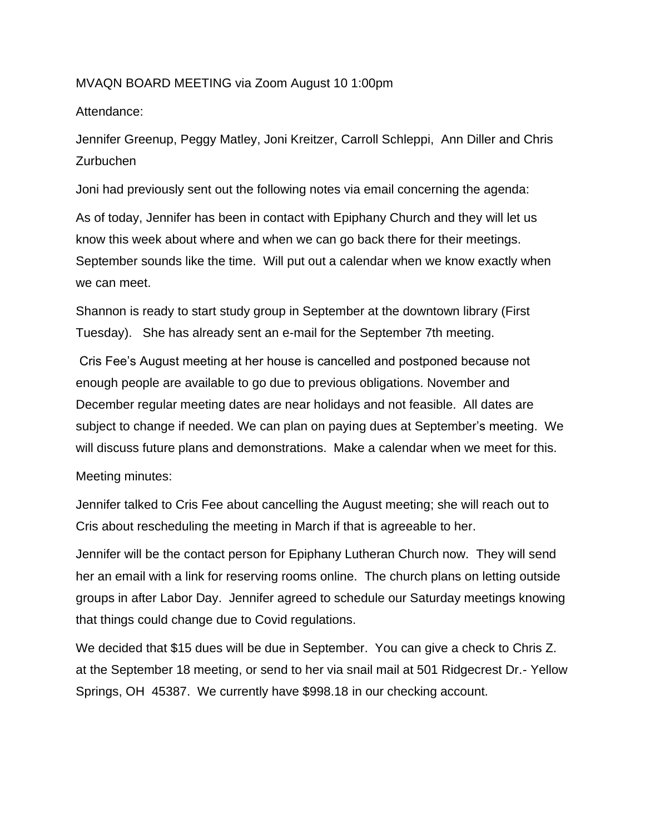## MVAQN BOARD MEETING via Zoom August 10 1:00pm

## Attendance:

Jennifer Greenup, Peggy Matley, Joni Kreitzer, Carroll Schleppi, Ann Diller and Chris **Zurbuchen** 

Joni had previously sent out the following notes via email concerning the agenda:

As of today, Jennifer has been in contact with Epiphany Church and they will let us know this week about where and when we can go back there for their meetings. September sounds like the time. Will put out a calendar when we know exactly when we can meet.

Shannon is ready to start study group in September at the downtown library (First Tuesday). She has already sent an e-mail for the September 7th meeting.

Cris Fee's August meeting at her house is cancelled and postponed because not enough people are available to go due to previous obligations. November and December regular meeting dates are near holidays and not feasible. All dates are subject to change if needed. We can plan on paying dues at September's meeting. We will discuss future plans and demonstrations. Make a calendar when we meet for this.

Meeting minutes:

Jennifer talked to Cris Fee about cancelling the August meeting; she will reach out to Cris about rescheduling the meeting in March if that is agreeable to her.

Jennifer will be the contact person for Epiphany Lutheran Church now. They will send her an email with a link for reserving rooms online. The church plans on letting outside groups in after Labor Day. Jennifer agreed to schedule our Saturday meetings knowing that things could change due to Covid regulations.

We decided that \$15 dues will be due in September. You can give a check to Chris Z. at the September 18 meeting, or send to her via snail mail at 501 Ridgecrest Dr.- Yellow Springs, OH 45387. We currently have \$998.18 in our checking account.